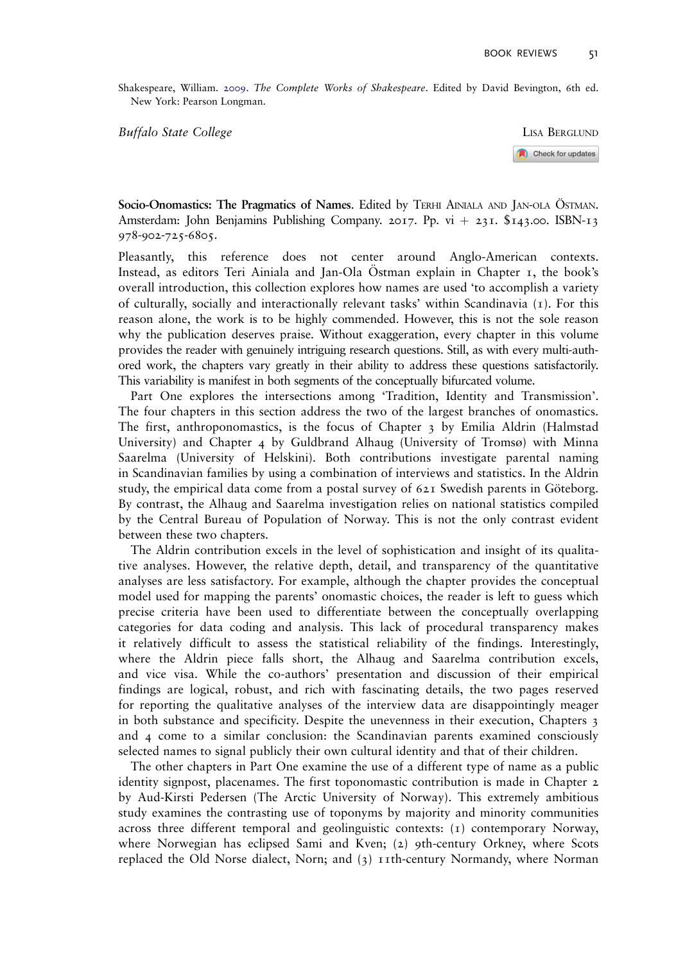Shakespeare, William. 2009. The Complete Works of Shakespeare. Edited by David Bevington, 6th ed. New York: Pearson Longman.

Buffalo State College **LISA BERGLUND** 

Check for updates

Socio-Onomastics: The Pragmatics of Names. Edited by TERHI AINIALA AND JAN-OLA ÖSTMAN. Amsterdam: John Benjamins Publishing Company. 2017. Pp. vi + 231.  $$143.00$ . ISBN-13 978-902-725-6805.

Pleasantly, this reference does not center around Anglo-American contexts. Instead, as editors Teri Ainiala and Jan-Ola Ostman explain in Chapter  $I$ , the book's overall introduction, this collection explores how names are used 'to accomplish a variety of culturally, socially and interactionally relevant tasks' within Scandinavia (1). For this reason alone, the work is to be highly commended. However, this is not the sole reason why the publication deserves praise. Without exaggeration, every chapter in this volume provides the reader with genuinely intriguing research questions. Still, as with every multi-authored work, the chapters vary greatly in their ability to address these questions satisfactorily. This variability is manifest in both segments of the conceptually bifurcated volume.

Part One explores the intersections among 'Tradition, Identity and Transmission'. The four chapters in this section address the two of the largest branches of onomastics. The first, anthroponomastics, is the focus of Chapter 3 by Emilia Aldrin (Halmstad University) and Chapter  $\frac{4}{9}$  by Guldbrand Alhaug (University of Tromsø) with Minna Saarelma (University of Helskini). Both contributions investigate parental naming in Scandinavian families by using a combination of interviews and statistics. In the Aldrin study, the empirical data come from a postal survey of  $62I$  Swedish parents in Göteborg. By contrast, the Alhaug and Saarelma investigation relies on national statistics compiled by the Central Bureau of Population of Norway. This is not the only contrast evident between these two chapters.

The Aldrin contribution excels in the level of sophistication and insight of its qualitative analyses. However, the relative depth, detail, and transparency of the quantitative analyses are less satisfactory. For example, although the chapter provides the conceptual model used for mapping the parents' onomastic choices, the reader is left to guess which precise criteria have been used to differentiate between the conceptually overlapping categories for data coding and analysis. This lack of procedural transparency makes it relatively difficult to assess the statistical reliability of the findings. Interestingly, where the Aldrin piece falls short, the Alhaug and Saarelma contribution excels, and vice visa. While the co-authors' presentation and discussion of their empirical findings are logical, robust, and rich with fascinating details, the two pages reserved for reporting the qualitative analyses of the interview data are disappointingly meager in both substance and specificity. Despite the unevenness in their execution, Chapters 3 and 4 come to a similar conclusion: the Scandinavian parents examined consciously selected names to signal publicly their own cultural identity and that of their children.

The other chapters in Part One examine the use of a different type of name as a public identity signpost, placenames. The first toponomastic contribution is made in Chapter 2 by Aud-Kirsti Pedersen (The Arctic University of Norway). This extremely ambitious study examines the contrasting use of toponyms by majority and minority communities across three different temporal and geolinguistic contexts: (1) contemporary Norway, where Norwegian has eclipsed Sami and Kven; (2) 9th-century Orkney, where Scots replaced the Old Norse dialect, Norn; and (3) 11th-century Normandy, where Norman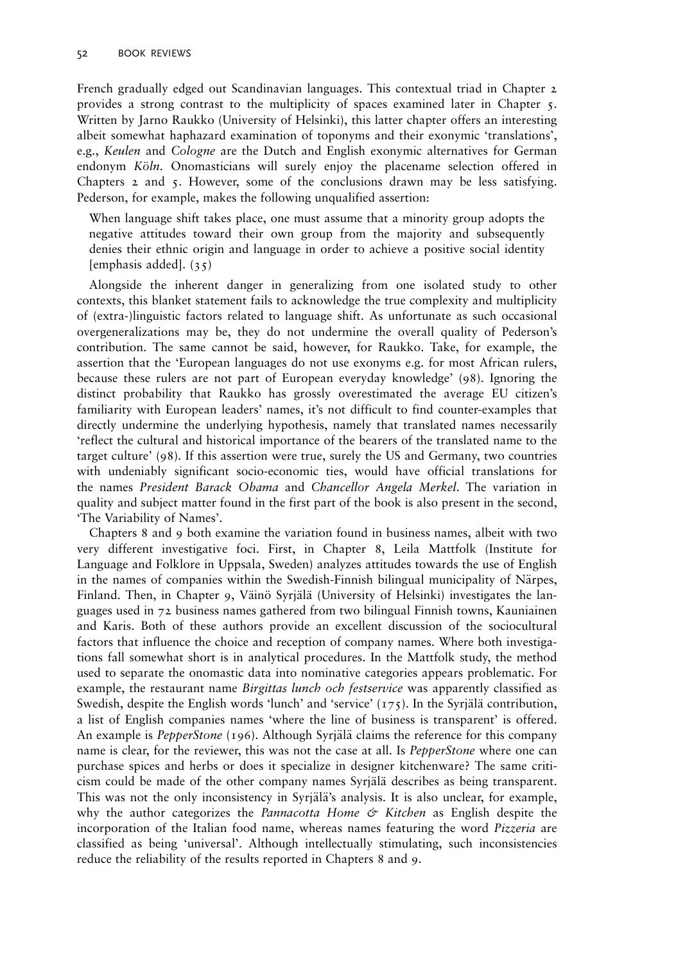French gradually edged out Scandinavian languages. This contextual triad in Chapter 2 provides a strong contrast to the multiplicity of spaces examined later in Chapter 5. Written by Jarno Raukko (University of Helsinki), this latter chapter offers an interesting albeit somewhat haphazard examination of toponyms and their exonymic 'translations', e.g., Keulen and Cologne are the Dutch and English exonymic alternatives for German endonym Köln. Onomasticians will surely enjoy the placename selection offered in Chapters 2 and 5. However, some of the conclusions drawn may be less satisfying. Pederson, for example, makes the following unqualified assertion:

When language shift takes place, one must assume that a minority group adopts the negative attitudes toward their own group from the majority and subsequently denies their ethnic origin and language in order to achieve a positive social identity [emphasis added]. (35)

Alongside the inherent danger in generalizing from one isolated study to other contexts, this blanket statement fails to acknowledge the true complexity and multiplicity of (extra-)linguistic factors related to language shift. As unfortunate as such occasional overgeneralizations may be, they do not undermine the overall quality of Pederson's contribution. The same cannot be said, however, for Raukko. Take, for example, the assertion that the 'European languages do not use exonyms e.g. for most African rulers, because these rulers are not part of European everyday knowledge' (98). Ignoring the distinct probability that Raukko has grossly overestimated the average EU citizen's familiarity with European leaders' names, it's not difficult to find counter-examples that directly undermine the underlying hypothesis, namely that translated names necessarily 'reflect the cultural and historical importance of the bearers of the translated name to the target culture' (98). If this assertion were true, surely the US and Germany, two countries with undeniably significant socio-economic ties, would have official translations for the names President Barack Obama and Chancellor Angela Merkel. The variation in quality and subject matter found in the first part of the book is also present in the second, 'The Variability of Names'.

Chapters 8 and 9 both examine the variation found in business names, albeit with two very different investigative foci. First, in Chapter 8, Leila Mattfolk (Institute for Language and Folklore in Uppsala, Sweden) analyzes attitudes towards the use of English in the names of companies within the Swedish-Finnish bilingual municipality of Närpes, Finland. Then, in Chapter 9, Väinö Syrjälä (University of Helsinki) investigates the languages used in 72 business names gathered from two bilingual Finnish towns, Kauniainen and Karis. Both of these authors provide an excellent discussion of the sociocultural factors that influence the choice and reception of company names. Where both investigations fall somewhat short is in analytical procedures. In the Mattfolk study, the method used to separate the onomastic data into nominative categories appears problematic. For example, the restaurant name *Birgittas lunch och festservice* was apparently classified as Swedish, despite the English words 'lunch' and 'service'  $(175)$ . In the Syrjälä contribution, a list of English companies names 'where the line of business is transparent' is offered. An example is *PepperStone* (196). Although Syrjälä claims the reference for this company name is clear, for the reviewer, this was not the case at all. Is *PepperStone* where one can purchase spices and herbs or does it specialize in designer kitchenware? The same criticism could be made of the other company names Syrjälä describes as being transparent. This was not the only inconsistency in Syrjälä's analysis. It is also unclear, for example, why the author categorizes the *Pannacotta Home*  $\circ$  *Kitchen* as English despite the incorporation of the Italian food name, whereas names featuring the word Pizzeria are classified as being 'universal'. Although intellectually stimulating, such inconsistencies reduce the reliability of the results reported in Chapters 8 and 9.